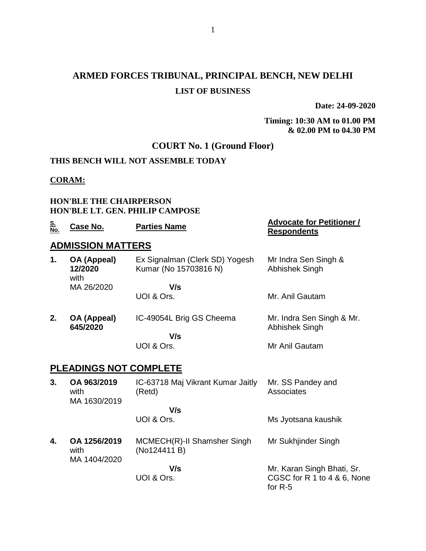## **ARMED FORCES TRIBUNAL, PRINCIPAL BENCH, NEW DELHI LIST OF BUSINESS**

**Date: 24-09-2020**

**Timing: 10:30 AM to 01.00 PM & 02.00 PM to 04.30 PM**

### **COURT No. 1 (Ground Floor)**

#### **THIS BENCH WILL NOT ASSEMBLE TODAY**

#### **CORAM:**

#### **HON'BLE THE CHAIRPERSON HON'BLE LT. GEN. PHILIP CAMPOSE**

| <u>S.</u><br>No. | Case No.                             | <b>Parties Name</b>                                     | <b>Advocate for Petitioner /</b><br><b>Respondents</b>                 |
|------------------|--------------------------------------|---------------------------------------------------------|------------------------------------------------------------------------|
|                  | <b>ADMISSION MATTERS</b>             |                                                         |                                                                        |
| 1.               | OA (Appeal)<br>12/2020<br>with       | Ex Signalman (Clerk SD) Yogesh<br>Kumar (No 15703816 N) | Mr Indra Sen Singh &<br>Abhishek Singh                                 |
|                  | MA 26/2020                           | V/s                                                     |                                                                        |
|                  |                                      | UOI & Ors.                                              | Mr. Anil Gautam                                                        |
| 2.               | OA (Appeal)<br>645/2020              | IC-49054L Brig GS Cheema                                | Mr. Indra Sen Singh & Mr.<br>Abhishek Singh                            |
|                  |                                      | V/s                                                     |                                                                        |
|                  |                                      | UOI & Ors.                                              | Mr Anil Gautam                                                         |
|                  | <u>PLEADINGS NOT COMPLETE</u>        |                                                         |                                                                        |
| 3.               | OA 963/2019<br>with<br>MA 1630/2019  | IC-63718 Maj Vikrant Kumar Jaitly<br>(Retd)             | Mr. SS Pandey and<br>Associates                                        |
|                  |                                      | V/s                                                     |                                                                        |
|                  |                                      | UOI & Ors.                                              | Ms Jyotsana kaushik                                                    |
| 4.               | OA 1256/2019<br>with<br>MA 1404/2020 | MCMECH(R)-II Shamsher Singh<br>(No124411 B)             | Mr Sukhjinder Singh                                                    |
|                  |                                      | V/s<br>UOI & Ors.                                       | Mr. Karan Singh Bhati, Sr.<br>CGSC for R 1 to 4 & 6, None<br>for $R-5$ |
|                  |                                      |                                                         |                                                                        |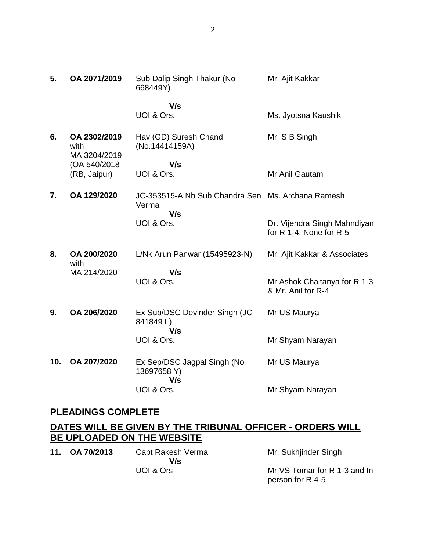| 5.  | OA 2071/2019                         | Sub Dalip Singh Thakur (No<br>668449Y)            | Mr. Ajit Kakkar                                         |
|-----|--------------------------------------|---------------------------------------------------|---------------------------------------------------------|
|     |                                      | V/s<br>UOI & Ors.                                 | Ms. Jyotsna Kaushik                                     |
| 6.  | OA 2302/2019<br>with<br>MA 3204/2019 | Hav (GD) Suresh Chand<br>(No.14414159A)           | Mr. S B Singh                                           |
|     | (OA 540/2018)<br>(RB, Jaipur)        | V/s<br>UOI & Ors.                                 | Mr Anil Gautam                                          |
| 7.  | OA 129/2020                          | JC-353515-A Nb Sub Chandra Sen<br>Verma<br>V/s    | Ms. Archana Ramesh                                      |
|     |                                      | UOI & Ors.                                        | Dr. Vijendra Singh Mahndiyan<br>for R 1-4, None for R-5 |
| 8.  | OA 200/2020<br>with                  | L/Nk Arun Panwar (15495923-N)                     | Mr. Ajit Kakkar & Associates                            |
|     | MA 214/2020                          | V/s<br>UOI & Ors.                                 | Mr Ashok Chaitanya for R 1-3<br>& Mr. Anil for R-4      |
| 9.  | OA 206/2020                          | Ex Sub/DSC Devinder Singh (JC<br>841849L)         | Mr US Maurya                                            |
|     |                                      | V/s<br>UOI & Ors.                                 | Mr Shyam Narayan                                        |
| 10. | OA 207/2020                          | Ex Sep/DSC Jagpal Singh (No<br>13697658 Y)<br>V/s | Mr US Maurya                                            |
|     |                                      | UOI & Ors.                                        | Mr Shyam Narayan                                        |

## **PLEADINGS COMPLETE**

## **DATES WILL BE GIVEN BY THE TRIBUNAL OFFICER - ORDERS WILL BE UPLOADED ON THE WEBSITE**

**11. OA 70/2013** Capt Rakesh Verma  **V/s** UOI & Ors

Mr. Sukhjinder Singh

Mr VS Tomar for R 1-3 and In person for R 4-5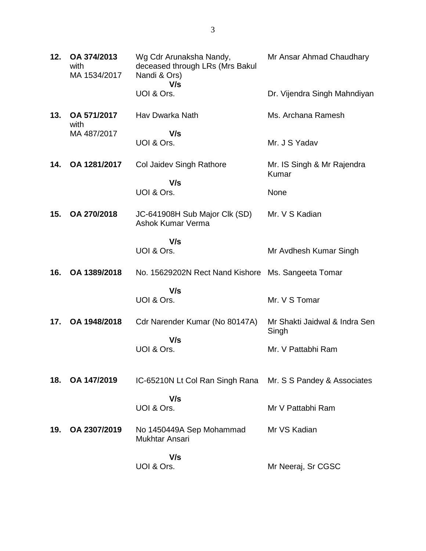| 12. | OA 374/2013<br>with<br>MA 1534/2017 | Wg Cdr Arunaksha Nandy,<br>deceased through LRs (Mrs Bakul<br>Nandi & Ors)<br>V/s | Mr Ansar Ahmad Chaudhary               |
|-----|-------------------------------------|-----------------------------------------------------------------------------------|----------------------------------------|
|     |                                     | UOI & Ors.                                                                        | Dr. Vijendra Singh Mahndiyan           |
| 13. | OA 571/2017<br>with                 | Hav Dwarka Nath                                                                   | Ms. Archana Ramesh                     |
|     | MA 487/2017                         | V/s<br>UOI & Ors.                                                                 | Mr. J S Yadav                          |
| 14. | OA 1281/2017                        | Col Jaidev Singh Rathore                                                          | Mr. IS Singh & Mr Rajendra<br>Kumar    |
|     |                                     | V/s<br>UOI & Ors.                                                                 | None                                   |
| 15. | OA 270/2018                         | JC-641908H Sub Major Clk (SD)<br><b>Ashok Kumar Verma</b>                         | Mr. V S Kadian                         |
|     |                                     | V/s<br>UOI & Ors.                                                                 | Mr Avdhesh Kumar Singh                 |
| 16. | OA 1389/2018                        | No. 15629202N Rect Nand Kishore                                                   | Ms. Sangeeta Tomar                     |
|     |                                     | V/s<br>UOI & Ors.                                                                 | Mr. V S Tomar                          |
| 17. | OA 1948/2018                        | Cdr Narender Kumar (No 80147A)                                                    | Mr Shakti Jaidwal & Indra Sen<br>Singh |
|     |                                     | V/s<br>UOI & Ors.                                                                 | Mr. V Pattabhi Ram                     |
| 18. | OA 147/2019                         | IC-65210N Lt Col Ran Singh Rana                                                   | Mr. S S Pandey & Associates            |
|     |                                     | V/s<br>UOI & Ors.                                                                 | Mr V Pattabhi Ram                      |
| 19. | OA 2307/2019                        | No 1450449A Sep Mohammad<br>Mukhtar Ansari                                        | Mr VS Kadian                           |
|     |                                     | V/s<br>UOI & Ors.                                                                 | Mr Neeraj, Sr CGSC                     |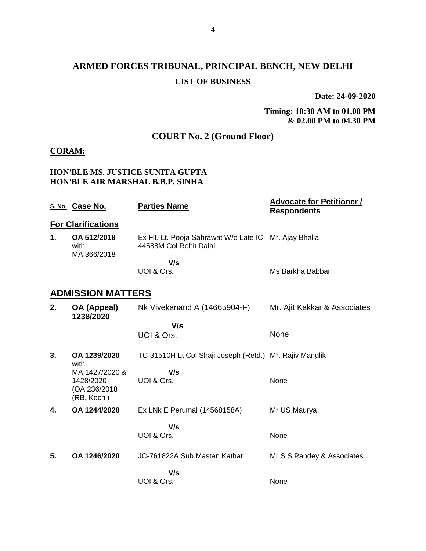# **ARMED FORCES TRIBUNAL, PRINCIPAL BENCH, NEW DELHI LIST OF BUSINESS**

**Date: 24-09-2020**

**Timing: 10:30 AM to 01.00 PM & 02.00 PM to 04.30 PM**

### **COURT No. 2 (Ground Floor)**

#### **CORAM:**

#### **HON'BLE MS. JUSTICE SUNITA GUPTA HON'BLE AIR MARSHAL B.B.P. SINHA**

|    | S. No. Case No.                                            | <b>Parties Name</b>                                                               | <b>Advocate for Petitioner /</b><br><b>Respondents</b> |
|----|------------------------------------------------------------|-----------------------------------------------------------------------------------|--------------------------------------------------------|
|    | <b>For Clarifications</b>                                  |                                                                                   |                                                        |
| 1. | OA 512/2018<br>with<br>MA 366/2018                         | Ex Flt. Lt. Pooja Sahrawat W/o Late IC- Mr. Ajay Bhalla<br>44588M Col Rohit Dalal |                                                        |
|    |                                                            | V/s                                                                               |                                                        |
|    |                                                            | UOI & Ors.                                                                        | Ms Barkha Babbar                                       |
|    | <b>ADMISSION MATTERS</b>                                   |                                                                                   |                                                        |
| 2. | OA (Appeal)<br>1238/2020                                   | Nk Vivekanand A (14665904-F)                                                      | Mr. Ajit Kakkar & Associates                           |
|    |                                                            | V/s                                                                               |                                                        |
|    |                                                            | UOI & Ors.                                                                        | None                                                   |
| 3. | OA 1239/2020<br>with                                       | TC-31510H Lt Col Shaji Joseph (Retd.) Mr. Rajiv Manglik                           |                                                        |
|    | MA 1427/2020 &<br>1428/2020<br>(OA 236/2018<br>(RB, Kochi) | V/s<br>UOI & Ors.                                                                 | None                                                   |
| 4. | OA 1244/2020                                               | Ex LNk E Perumal (14568158A)                                                      | Mr US Maurya                                           |
|    |                                                            | V/s                                                                               |                                                        |
|    |                                                            | UOI & Ors.                                                                        | None                                                   |
| 5. | OA 1246/2020                                               | JC-761822A Sub Mastan Kathat                                                      | Mr S S Pandey & Associates                             |
|    |                                                            | V/s<br>UOI & Ors.                                                                 | None                                                   |
|    |                                                            |                                                                                   |                                                        |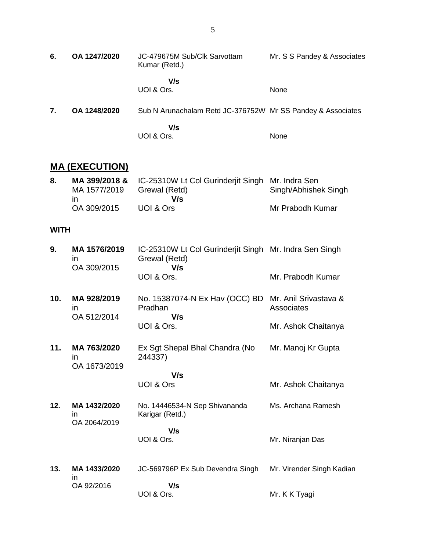| 6. | OA 1247/2020 | JC-479675M Sub/Clk Sarvottam<br>Kumar (Retd.)               | Mr. S S Pandey & Associates |
|----|--------------|-------------------------------------------------------------|-----------------------------|
|    |              | V/s<br>UOI & Ors.                                           | None                        |
| 7. | OA 1248/2020 | Sub N Arunachalam Retd JC-376752W Mr SS Pandey & Associates |                             |
|    |              | V/s<br>UOI & Ors.                                           | None                        |

### **MA (EXECUTION)**

| 8. |              | MA 399/2018 & IC-25310W Lt Col Gurinderjit Singh Mr. Indra Sen |                      |
|----|--------------|----------------------------------------------------------------|----------------------|
|    | MA 1577/2019 | Grewal (Retd)                                                  | Singh/Abhishek Singh |
|    | ın           | V/s                                                            |                      |
|    | OA 309/2015  | UOI & Ors                                                      | Mr Prabodh Kumar     |

#### **WITH**

| 9. | MA 1576/2019<br>ın | IC-25310W Lt Col Gurinderjit Singh Mr. Indra Sen Singh<br>Grewal (Retd) |                   |
|----|--------------------|-------------------------------------------------------------------------|-------------------|
|    | OA 309/2015        | V/s                                                                     |                   |
|    |                    | UOI & Ors.                                                              | Mr. Prabodh Kumar |

| 10. | MA 928/2019 | No. 15387074-N Ex Hav (OCC) BD Mr. Anil Srivastava & |                     |
|-----|-------------|------------------------------------------------------|---------------------|
|     |             | Pradhan                                              | Associates          |
|     | OA 512/2014 | V/s                                                  |                     |
|     |             | UOI & Ors.                                           | Mr. Ashok Chaitanya |

**11. MA 763/2020** in OA 1673/2019 Ex Sgt Shepal Bhal Chandra (No 244337) Mr. Manoj Kr Gupta

> **V/s** UOI & Ors

**12. MA 1432/2020** in OA 2064/2019 No. 14446534-N Sep Shivananda Karigar (Retd.)  **V/s** Ms. Archana Ramesh

UOI & Ors.

Mr. Niranjan Das

Mr. Ashok Chaitanya

**13. MA 1433/2020** in OA 92/2016 JC-569796P Ex Sub Devendra Singh  **V/s** UOI & Ors. Mr. Virender Singh Kadian Mr. K K Tyagi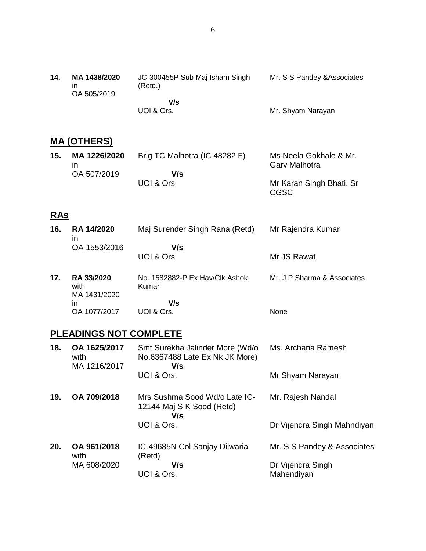| 14. | MA 1438/2020<br>ın<br>OA 505/2019 | JC-300455P Sub Maj Isham Singh<br>(Retd.) | Mr. S S Pandey & Associates |
|-----|-----------------------------------|-------------------------------------------|-----------------------------|
|     |                                   | V/s                                       |                             |
|     |                                   | UOI & Ors.                                | Mr. Shyam Narayan           |

## **MA (OTHERS)**

| 15. | MA 1226/2020 | Brig TC Malhotra (IC 48282 F) | Ms Neela Gokhale & Mr.<br><b>Gary Malhotra</b> |
|-----|--------------|-------------------------------|------------------------------------------------|
|     | OA 507/2019  | V/s                           |                                                |
|     |              | UOI & Ors                     | Mr Karan Singh Bhati, Sr                       |

CGSC

## **RAs**

| 16. | <b>RA 14/2020</b><br>$\mathsf{I}$         | Maj Surender Singh Rana (Retd)          | Mr Rajendra Kumar           |
|-----|-------------------------------------------|-----------------------------------------|-----------------------------|
|     | OA 1553/2016                              | V/s<br>UOI & Ors                        | Mr JS Rawat                 |
| 17. | <b>RA 33/2020</b><br>with<br>MA 1431/2020 | No. 1582882-P Ex Hav/Clk Ashok<br>Kumar | Mr. J P Sharma & Associates |
|     | in                                        | V/s                                     |                             |
|     | OA 1077/2017                              | UOI & Ors.                              | None                        |
|     | .                                         |                                         |                             |

### **PLEADINGS NOT COMPLETE**

| 18. | OA 1625/2017<br>with<br>MA 1216/2017 | Smt Surekha Jalinder More (Wd/o<br>No.6367488 Late Ex Nk JK More)<br>V/s | Ms. Archana Ramesh              |
|-----|--------------------------------------|--------------------------------------------------------------------------|---------------------------------|
|     |                                      | UOI & Ors.                                                               | Mr Shyam Narayan                |
| 19. | OA 709/2018                          | Mrs Sushma Sood Wd/o Late IC-<br>12144 Maj S K Sood (Retd)<br>V/s        | Mr. Rajesh Nandal               |
|     |                                      | UOI & Ors.                                                               | Dr Vijendra Singh Mahndiyan     |
| 20. | OA 961/2018<br>with                  | IC-49685N Col Sanjay Dilwaria<br>(Retd)                                  | Mr. S S Pandey & Associates     |
|     | MA 608/2020                          | V/s<br>UOI & Ors.                                                        | Dr Vijendra Singh<br>Mahendiyan |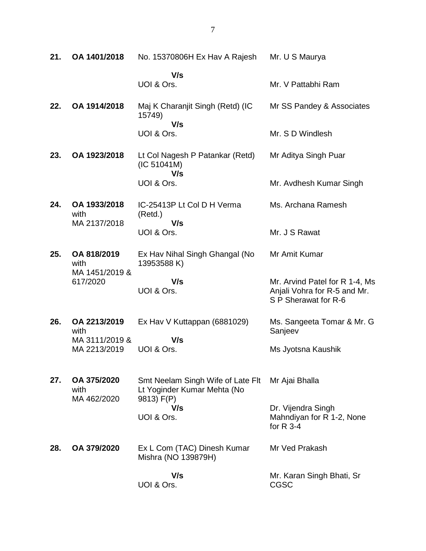| 21. | OA 1401/2018                                      | No. 15370806H Ex Hav A Rajesh                                                  | Mr. U S Maurya                                                                         |
|-----|---------------------------------------------------|--------------------------------------------------------------------------------|----------------------------------------------------------------------------------------|
|     |                                                   | V/s<br>UOI & Ors.                                                              | Mr. V Pattabhi Ram                                                                     |
| 22. | OA 1914/2018                                      | Maj K Charanjit Singh (Retd) (IC<br>15749)                                     | Mr SS Pandey & Associates                                                              |
|     |                                                   | V/s<br>UOI & Ors.                                                              | Mr. S D Windlesh                                                                       |
| 23. | OA 1923/2018                                      | Lt Col Nagesh P Patankar (Retd)<br>(IC 51041M)                                 | Mr Aditya Singh Puar                                                                   |
|     |                                                   | V/s<br>UOI & Ors.                                                              | Mr. Avdhesh Kumar Singh                                                                |
| 24. | OA 1933/2018<br>with                              | IC-25413P Lt Col D H Verma<br>(Retd.)                                          | Ms. Archana Ramesh                                                                     |
|     | MA 2137/2018                                      | V/s<br>UOI & Ors.                                                              | Mr. J S Rawat                                                                          |
| 25. | OA 818/2019<br>with<br>MA 1451/2019 &<br>617/2020 | Ex Hav Nihal Singh Ghangal (No<br>13953588 K)                                  | Mr Amit Kumar                                                                          |
|     |                                                   | V/s<br>UOI & Ors.                                                              | Mr. Arvind Patel for R 1-4, Ms<br>Anjali Vohra for R-5 and Mr.<br>S P Sherawat for R-6 |
| 26. | OA 2213/2019<br>with                              | Ex Hav V Kuttappan (6881029)                                                   | Ms. Sangeeta Tomar & Mr. G<br>Sanjeev                                                  |
|     | MA 3111/2019 &<br>MA 2213/2019                    | V/s<br>UOI & Ors.                                                              | Ms Jyotsna Kaushik                                                                     |
| 27. | OA 375/2020<br>with<br>MA 462/2020                | Smt Neelam Singh Wife of Late Flt<br>Lt Yoginder Kumar Mehta (No<br>9813) F(P) | Mr Ajai Bhalla                                                                         |
|     |                                                   | V/s<br>UOI & Ors.                                                              | Dr. Vijendra Singh<br>Mahndiyan for R 1-2, None<br>for $R$ 3-4                         |
| 28. | OA 379/2020                                       | Ex L Com (TAC) Dinesh Kumar<br>Mishra (NO 139879H)                             | Mr Ved Prakash                                                                         |
|     |                                                   | V/s<br>UOI & Ors.                                                              | Mr. Karan Singh Bhati, Sr<br><b>CGSC</b>                                               |

7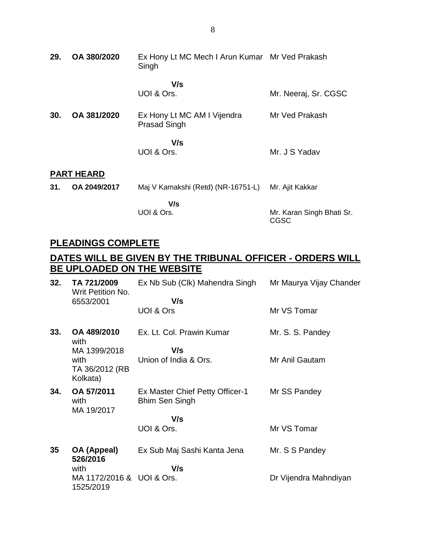| 29. | OA 380/2020       | Ex Hony Lt MC Mech I Arun Kumar Mr Ved Prakash<br>Singh |                           |
|-----|-------------------|---------------------------------------------------------|---------------------------|
|     |                   | V/s<br>UOI & Ors.                                       | Mr. Neeraj, Sr. CGSC      |
| 30. | OA 381/2020       | Ex Hony Lt MC AM I Vijendra<br><b>Prasad Singh</b>      | Mr Ved Prakash            |
|     |                   | V/s<br>UOI & Ors.                                       | Mr. J S Yadav             |
|     | <b>PART HEARD</b> |                                                         |                           |
| 31. | OA 2049/2017      | Maj V Kamakshi (Retd) (NR-16751-L)                      | Mr. Ajit Kakkar           |
|     |                   | V/s<br>UOI & Ors.                                       | Mr. Karan Singh Bhati Sr. |

# **PLEADINGS COMPLETE**

## **DATES WILL BE GIVEN BY THE TRIBUNAL OFFICER - ORDERS WILL BE UPLOADED ON THE WEBSITE**

CGSC

| 32. | TA 721/2009<br>Writ Petition No.       | Ex Nb Sub (Clk) Mahendra Singh                           | Mr Maurya Vijay Chander |
|-----|----------------------------------------|----------------------------------------------------------|-------------------------|
|     | 6553/2001                              | V/s<br>UOI & Ors                                         | Mr VS Tomar             |
| 33. | OA 489/2010<br>with                    | Ex. Lt. Col. Prawin Kumar                                | Mr. S. S. Pandey        |
|     | MA 1399/2018                           | V/s                                                      |                         |
|     | with<br>TA 36/2012 (RB<br>Kolkata)     | Union of India & Ors.                                    | Mr Anil Gautam          |
| 34. | OA 57/2011<br>with<br>MA 19/2017       | Ex Master Chief Petty Officer-1<br><b>Bhim Sen Singh</b> | Mr SS Pandey            |
|     |                                        | V/s                                                      |                         |
|     |                                        | UOI & Ors.                                               | Mr VS Tomar             |
| 35  | OA (Appeal)<br>526/2016                | Ex Sub Maj Sashi Kanta Jena                              | Mr. S S Pandey          |
|     | with                                   | V/s                                                      |                         |
|     | MA 1172/2016 & UOI & Ors.<br>1525/2019 |                                                          | Dr Vijendra Mahndiyan   |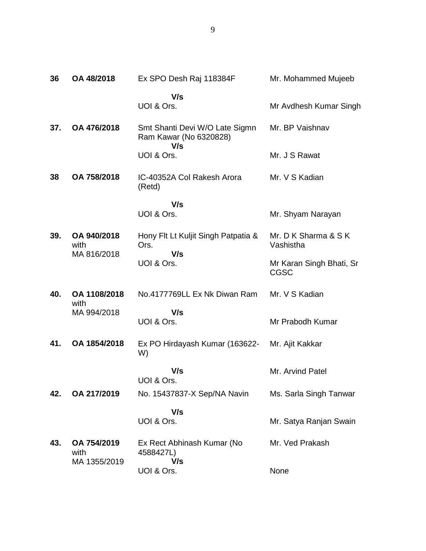| 36  | OA 48/2018                          | Ex SPO Desh Raj 118384F                                         | Mr. Mohammed Mujeeb                     |
|-----|-------------------------------------|-----------------------------------------------------------------|-----------------------------------------|
|     |                                     | V/s<br>UOI & Ors.                                               | Mr Avdhesh Kumar Singh                  |
| 37. | OA 476/2018                         | Smt Shanti Devi W/O Late Sigmn<br>Ram Kawar (No 6320828)<br>V/s | Mr. BP Vaishnav                         |
|     |                                     | UOI & Ors.                                                      | Mr. J S Rawat                           |
| 38  | OA 758/2018                         | IC-40352A Col Rakesh Arora<br>(Retd)                            | Mr. V S Kadian                          |
|     |                                     | V/s                                                             |                                         |
|     |                                     | UOI & Ors.                                                      | Mr. Shyam Narayan                       |
| 39. | OA 940/2018<br>with<br>MA 816/2018  | Hony Flt Lt Kuljit Singh Patpatia &<br>Ors.<br>V/s              | Mr. D K Sharma & S K<br>Vashistha       |
|     |                                     | UOI & Ors.                                                      | Mr Karan Singh Bhati, Sr<br><b>CGSC</b> |
| 40. | OA 1108/2018<br>with                | No.4177769LL Ex Nk Diwan Ram                                    | Mr. V S Kadian                          |
|     | MA 994/2018                         | V/s<br>UOI & Ors.                                               | Mr Prabodh Kumar                        |
| 41. | OA 1854/2018                        | Ex PO Hirdayash Kumar (163622-<br>W)                            | Mr. Ajit Kakkar                         |
|     |                                     | V/s<br>UOI & Ors.                                               | Mr. Arvind Patel                        |
| 42. | OA 217/2019                         | No. 15437837-X Sep/NA Navin                                     | Ms. Sarla Singh Tanwar                  |
|     |                                     | V/s<br>UOI & Ors.                                               | Mr. Satya Ranjan Swain                  |
| 43. | OA 754/2019<br>with<br>MA 1355/2019 | Ex Rect Abhinash Kumar (No<br>4588427L)<br>V/s                  | Mr. Ved Prakash                         |
|     |                                     | UOI & Ors.                                                      | None                                    |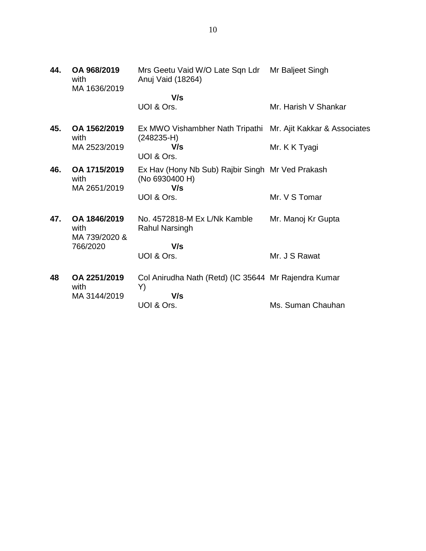| OA 968/2019<br>with<br>MA 1636/2019 | Mrs Geetu Vaid W/O Late Sqn Ldr Mr Baljeet Singh<br>Anuj Vaid (18264) |                                  |
|-------------------------------------|-----------------------------------------------------------------------|----------------------------------|
|                                     | V/s                                                                   |                                  |
|                                     | UOI & Ors.                                                            | Mr. Harish V Shankar             |
| OA 1562/2019                        | Ex MWO Vishambher Nath Tripathi Mr. Ajit Kakkar & Associates          |                                  |
| MA 2523/2019                        | V/s<br>UOI & Ors.                                                     | Mr. K K Tyagi                    |
| OA 1715/2019<br>with                | Ex Hav (Hony Nb Sub) Rajbir Singh Mr Ved Prakash<br>(No 6930400 H)    |                                  |
|                                     | UOI & Ors.                                                            | Mr. V S Tomar                    |
| OA 1846/2019<br>with                | No. 4572818-M Ex L/Nk Kamble<br>Rahul Narsingh                        | Mr. Manoj Kr Gupta               |
|                                     |                                                                       |                                  |
|                                     | UOI & Ors.                                                            | Mr. J S Rawat                    |
| OA 2251/2019<br>with                | Col Anirudha Nath (Retd) (IC 35644 Mr Rajendra Kumar                  |                                  |
| MA 3144/2019                        | V/s                                                                   |                                  |
|                                     | UOI & Ors.                                                            | Ms. Suman Chauhan                |
|                                     | with<br>MA 2651/2019<br>MA 739/2020 &<br>766/2020                     | $(248235-H)$<br>V/s<br>V/s<br>Y) |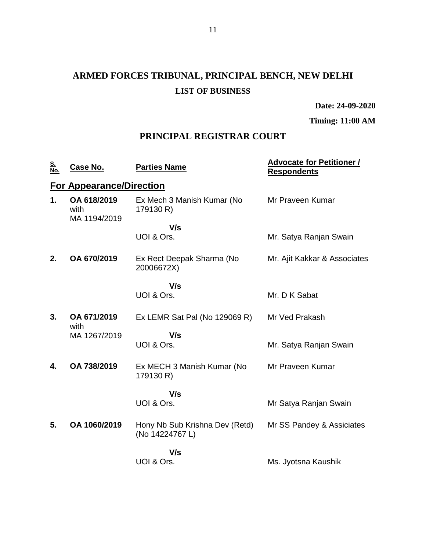# **ARMED FORCES TRIBUNAL, PRINCIPAL BENCH, NEW DELHI LIST OF BUSINESS**

**Date: 24-09-2020**

**Timing: 11:00 AM**

## **PRINCIPAL REGISTRAR COURT**

| <u>S.</u><br>No. | Case No.                            | <b>Parties Name</b>                               | <b>Advocate for Petitioner /</b><br><b>Respondents</b> |
|------------------|-------------------------------------|---------------------------------------------------|--------------------------------------------------------|
|                  | <b>For Appearance/Direction</b>     |                                                   |                                                        |
| 1.               | OA 618/2019<br>with<br>MA 1194/2019 | Ex Mech 3 Manish Kumar (No<br>179130 R)           | Mr Praveen Kumar                                       |
|                  |                                     | V/s                                               |                                                        |
|                  |                                     | UOI & Ors.                                        | Mr. Satya Ranjan Swain                                 |
| 2.               | OA 670/2019                         | Ex Rect Deepak Sharma (No<br>20006672X)           | Mr. Ajit Kakkar & Associates                           |
|                  |                                     | V/s                                               |                                                        |
|                  |                                     | UOI & Ors.                                        | Mr. D K Sabat                                          |
| 3.               | OA 671/2019<br>with                 | Ex LEMR Sat Pal (No 129069 R)                     | Mr Ved Prakash                                         |
|                  | MA 1267/2019                        | V/s                                               |                                                        |
|                  |                                     | UOI & Ors.                                        | Mr. Satya Ranjan Swain                                 |
| 4.               | OA 738/2019                         | Ex MECH 3 Manish Kumar (No<br>179130 R)           | Mr Praveen Kumar                                       |
|                  |                                     | V/s                                               |                                                        |
|                  |                                     | UOI & Ors.                                        | Mr Satya Ranjan Swain                                  |
| 5.               | OA 1060/2019                        | Hony Nb Sub Krishna Dev (Retd)<br>(No 14224767 L) | Mr SS Pandey & Assiciates                              |
|                  |                                     | V/s                                               |                                                        |
|                  |                                     | UOI & Ors.                                        | Ms. Jyotsna Kaushik                                    |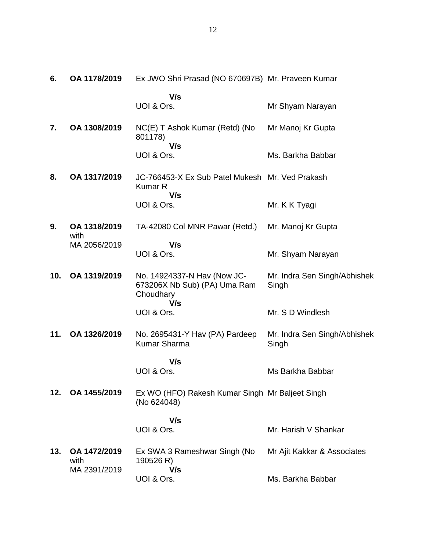| 6.  | OA 1178/2019                         | Ex JWO Shri Prasad (NO 670697B) Mr. Praveen Kumar                               |                                       |
|-----|--------------------------------------|---------------------------------------------------------------------------------|---------------------------------------|
|     |                                      | V/s<br>UOI & Ors.                                                               | Mr Shyam Narayan                      |
| 7.  | OA 1308/2019                         | NC(E) T Ashok Kumar (Retd) (No<br>801178)<br>V/s                                | Mr Manoj Kr Gupta                     |
|     |                                      | UOI & Ors.                                                                      | Ms. Barkha Babbar                     |
| 8.  | OA 1317/2019                         | JC-766453-X Ex Sub Patel Mukesh Mr. Ved Prakash<br><b>Kumar R</b><br>V/s        |                                       |
|     |                                      | UOI & Ors.                                                                      | Mr. K K Tyagi                         |
| 9.  | OA 1318/2019<br>with                 | TA-42080 Col MNR Pawar (Retd.)                                                  | Mr. Manoj Kr Gupta                    |
|     | MA 2056/2019                         | V/s<br>UOI & Ors.                                                               | Mr. Shyam Narayan                     |
| 10. | OA 1319/2019                         | No. 14924337-N Hav (Now JC-<br>673206X Nb Sub) (PA) Uma Ram<br>Choudhary<br>V/s | Mr. Indra Sen Singh/Abhishek<br>Singh |
|     |                                      | UOI & Ors.                                                                      | Mr. S D Windlesh                      |
| 11. | OA 1326/2019                         | No. 2695431-Y Hav (PA) Pardeep<br><b>Kumar Sharma</b>                           | Mr. Indra Sen Singh/Abhishek<br>Singh |
|     |                                      | V/s<br>UOI & Ors.                                                               | Ms Barkha Babbar                      |
| 12. | OA 1455/2019                         | Ex WO (HFO) Rakesh Kumar Singh Mr Baljeet Singh<br>(No 624048)                  |                                       |
|     |                                      | V/s                                                                             |                                       |
|     |                                      | UOI & Ors.                                                                      | Mr. Harish V Shankar                  |
| 13. | OA 1472/2019<br>with<br>MA 2391/2019 | Ex SWA 3 Rameshwar Singh (No<br>190526 R)<br>V/s                                | Mr Ajit Kakkar & Associates           |
|     |                                      | UOI & Ors.                                                                      | Ms. Barkha Babbar                     |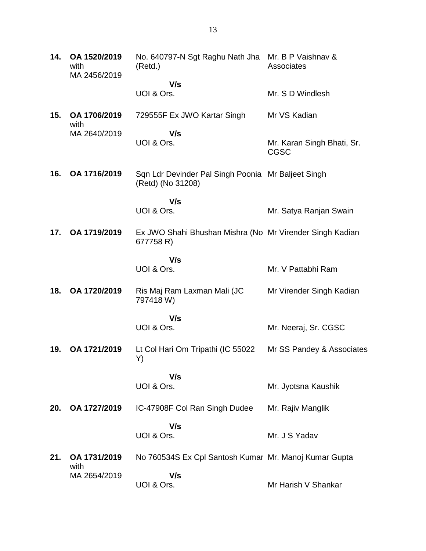**14. OA 1520/2019** with MA 2456/2019 No. 640797-N Sgt Raghu Nath Jha Mr. B P Vaishnav & (Retd.)  **V/s** UOI & Ors. **Associates** Mr. S D Windlesh **15. OA 1706/2019** with MA 2640/2019 729555F Ex JWO Kartar Singh  **V/s** UOI & Ors. Mr VS Kadian Mr. Karan Singh Bhati, Sr. CGSC **16. OA 1716/2019** Sqn Ldr Devinder Pal Singh Poonia Mr Baljeet Singh (Retd) (No 31208)  **V/s** UOI & Ors. Mr. Satya Ranjan Swain **17. OA 1719/2019** Ex JWO Shahi Bhushan Mishra (No Mr Virender Singh Kadian 677758 R)  **V/s** UOI & Ors. Mr. V Pattabhi Ram **18. OA 1720/2019** Ris Maj Ram Laxman Mali (JC 797418 W)  **V/s** UOI & Ors. Mr Virender Singh Kadian Mr. Neeraj, Sr. CGSC **19. OA 1721/2019** Lt Col Hari Om Tripathi (IC 55022 Y)  **V/s** UOI & Ors. Mr SS Pandey & Associates Mr. Jyotsna Kaushik **20. OA 1727/2019** IC-47908F Col Ran Singh Dudee  **V/s** UOI & Ors. Mr. Rajiv Manglik Mr. J S Yadav **21. OA 1731/2019** with MA 2654/2019 No 760534S Ex Cpl Santosh Kumar Mr. Manoj Kumar Gupta  **V/s** UOI & Ors. Mr Harish V Shankar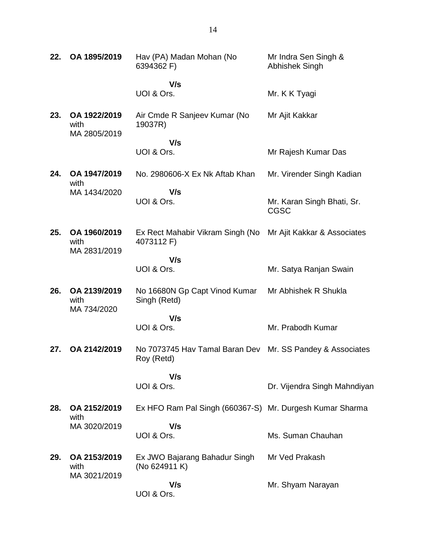| 22. | OA 1895/2019                         | Hav (PA) Madan Mohan (No<br>6394362 F)                                     | Mr Indra Sen Singh &<br>Abhishek Singh    |
|-----|--------------------------------------|----------------------------------------------------------------------------|-------------------------------------------|
|     |                                      | V/s                                                                        |                                           |
|     |                                      | UOI & Ors.                                                                 | Mr. K K Tyagi                             |
| 23. | OA 1922/2019<br>with<br>MA 2805/2019 | Air Cmde R Sanjeev Kumar (No<br>19037R)                                    | Mr Ajit Kakkar                            |
|     |                                      | V/s                                                                        |                                           |
|     |                                      | UOI & Ors.                                                                 | Mr Rajesh Kumar Das                       |
| 24. | OA 1947/2019<br>with                 | No. 2980606-X Ex Nk Aftab Khan                                             | Mr. Virender Singh Kadian                 |
|     | MA 1434/2020                         | V/s<br>UOI & Ors.                                                          | Mr. Karan Singh Bhati, Sr.<br><b>CGSC</b> |
| 25. | OA 1960/2019<br>with<br>MA 2831/2019 | Ex Rect Mahabir Vikram Singh (No Mr Ajit Kakkar & Associates<br>4073112 F) |                                           |
|     |                                      | V/s<br>UOI & Ors.                                                          | Mr. Satya Ranjan Swain                    |
| 26. | OA 2139/2019<br>with                 | No 16680N Gp Capt Vinod Kumar<br>Singh (Retd)                              | Mr Abhishek R Shukla                      |
|     | MA 734/2020                          | V/s                                                                        |                                           |
|     |                                      | UOI & Ors.                                                                 | Mr. Prabodh Kumar                         |
| 27. | OA 2142/2019                         | No 7073745 Hav Tamal Baran Dev Mr. SS Pandey & Associates<br>Roy (Retd)    |                                           |
|     |                                      | V/s                                                                        |                                           |
|     |                                      | UOI & Ors.                                                                 | Dr. Vijendra Singh Mahndiyan              |
| 28. | OA 2152/2019<br>with                 | Ex HFO Ram Pal Singh (660367-S) Mr. Durgesh Kumar Sharma                   |                                           |
|     | MA 3020/2019                         | V/s<br>UOI & Ors.                                                          | Ms. Suman Chauhan                         |
| 29. | OA 2153/2019<br>with                 | Ex JWO Bajarang Bahadur Singh<br>(No 624911 K)                             | Mr Ved Prakash                            |
|     | MA 3021/2019                         | V/s<br>UOI & Ors.                                                          | Mr. Shyam Narayan                         |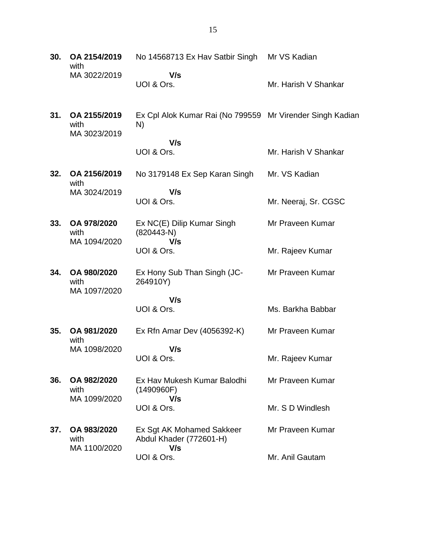| 30. | OA 2154/2019<br>with                | No 14568713 Ex Hav Satbir Singh Mr VS Kadian                    |                      |
|-----|-------------------------------------|-----------------------------------------------------------------|----------------------|
|     | MA 3022/2019                        | V/s<br>UOI & Ors.                                               | Mr. Harish V Shankar |
| 31. | OA 2155/2019<br>with                | Ex Cpl Alok Kumar Rai (No 799559 Mr Virender Singh Kadian<br>N) |                      |
|     | MA 3023/2019                        | V/s                                                             |                      |
|     |                                     | UOI & Ors.                                                      | Mr. Harish V Shankar |
| 32. | OA 2156/2019<br>with                | No 3179148 Ex Sep Karan Singh                                   | Mr. VS Kadian        |
|     | MA 3024/2019                        | V/s<br>UOI & Ors.                                               | Mr. Neeraj, Sr. CGSC |
| 33. | OA 978/2020<br>with                 | Ex NC(E) Dilip Kumar Singh<br>$(820443-N)$                      | Mr Praveen Kumar     |
|     | MA 1094/2020                        | V/s<br>UOI & Ors.                                               | Mr. Rajeev Kumar     |
| 34. | OA 980/2020<br>with                 | Ex Hony Sub Than Singh (JC-<br>264910Y)                         | Mr Praveen Kumar     |
|     | MA 1097/2020                        | V/s                                                             |                      |
|     |                                     | UOI & Ors.                                                      | Ms. Barkha Babbar    |
| 35. | OA 981/2020<br>with                 | Ex Rfn Amar Dev (4056392-K)                                     | Mr Praveen Kumar     |
|     | MA 1098/2020                        | V/s                                                             |                      |
|     |                                     | UOI & Ors.                                                      | Mr. Rajeev Kumar     |
| 36. | OA 982/2020<br>with                 | Ex Hav Mukesh Kumar Balodhi<br>(1490960F)                       | Mr Praveen Kumar     |
|     | MA 1099/2020                        | V/s<br>UOI & Ors.                                               | Mr. S D Windlesh     |
| 37. | OA 983/2020<br>with<br>MA 1100/2020 | Ex Sgt AK Mohamed Sakkeer<br>Abdul Khader (772601-H)<br>V/s     | Mr Praveen Kumar     |
|     |                                     | UOI & Ors.                                                      | Mr. Anil Gautam      |